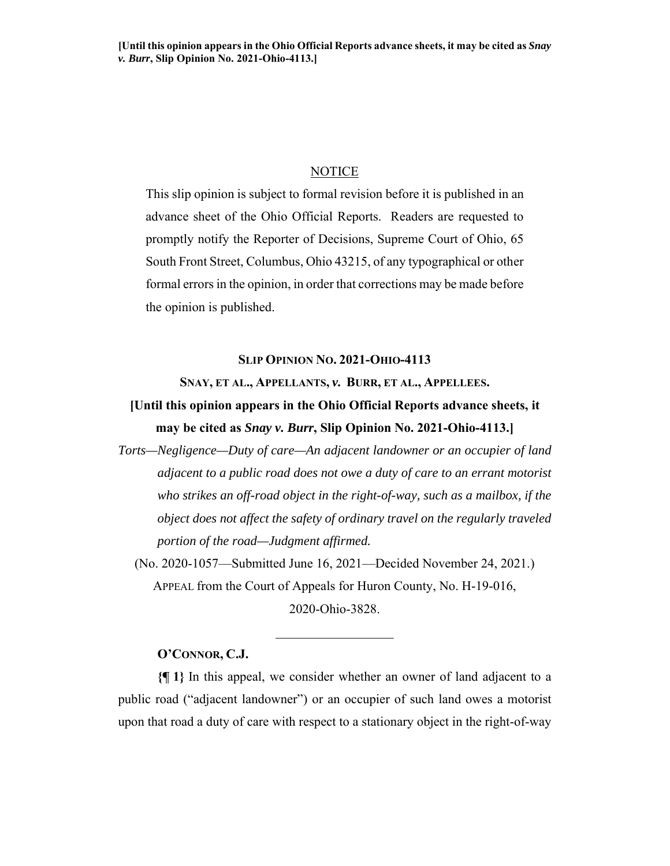# **NOTICE**

This slip opinion is subject to formal revision before it is published in an advance sheet of the Ohio Official Reports. Readers are requested to promptly notify the Reporter of Decisions, Supreme Court of Ohio, 65 South Front Street, Columbus, Ohio 43215, of any typographical or other formal errors in the opinion, in order that corrections may be made before the opinion is published.

## **SLIP OPINION NO. 2021-OHIO-4113**

**SNAY, ET AL., APPELLANTS,** *v.* **BURR, ET AL., APPELLEES.** 

**[Until this opinion appears in the Ohio Official Reports advance sheets, it may be cited as** *Snay v. Burr***, Slip Opinion No. 2021-Ohio-4113.]** 

*Torts—Negligence—Duty of care—An adjacent landowner or an occupier of land adjacent to a public road does not owe a duty of care to an errant motorist who strikes an off-road object in the right-of-way, such as a mailbox, if the object does not affect the safety of ordinary travel on the regularly traveled portion of the road—Judgment affirmed.* 

(No. 2020-1057—Submitted June 16, 2021—Decided November 24, 2021.) APPEAL from the Court of Appeals for Huron County, No. H-19-016, 2020-Ohio-3828.

## **O'CONNOR, C.J.**

**{¶ 1}** In this appeal, we consider whether an owner of land adjacent to a public road ("adjacent landowner") or an occupier of such land owes a motorist upon that road a duty of care with respect to a stationary object in the right-of-way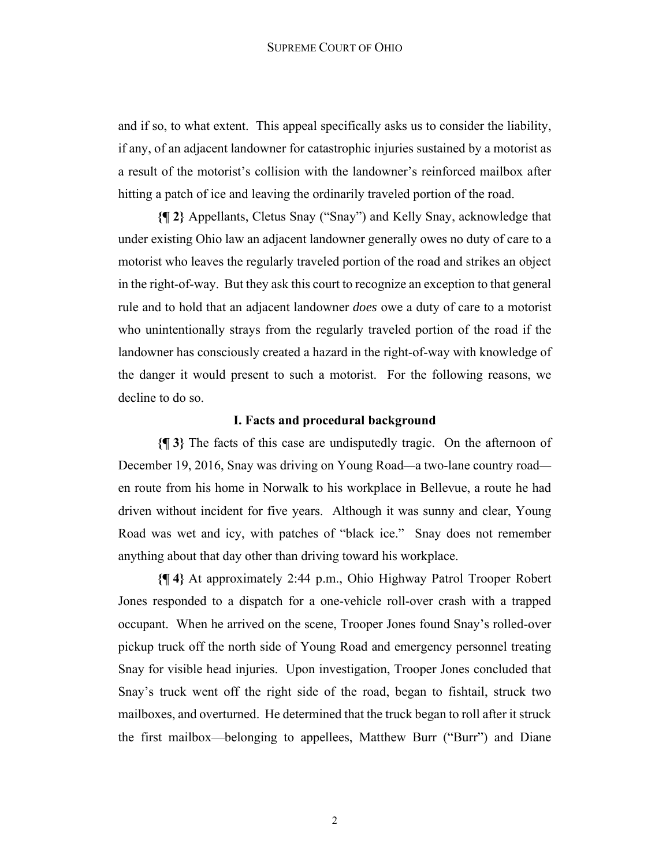#### SUPREME COURT OF OHIO

and if so, to what extent. This appeal specifically asks us to consider the liability, if any, of an adjacent landowner for catastrophic injuries sustained by a motorist as a result of the motorist's collision with the landowner's reinforced mailbox after hitting a patch of ice and leaving the ordinarily traveled portion of the road.

**{¶ 2}** Appellants, Cletus Snay ("Snay") and Kelly Snay, acknowledge that under existing Ohio law an adjacent landowner generally owes no duty of care to a motorist who leaves the regularly traveled portion of the road and strikes an object in the right-of-way. But they ask this court to recognize an exception to that general rule and to hold that an adjacent landowner *does* owe a duty of care to a motorist who unintentionally strays from the regularly traveled portion of the road if the landowner has consciously created a hazard in the right-of-way with knowledge of the danger it would present to such a motorist. For the following reasons, we decline to do so.

#### **I. Facts and procedural background**

**{¶ 3}** The facts of this case are undisputedly tragic. On the afternoon of December 19, 2016, Snay was driving on Young Road*—*a two-lane country road en route from his home in Norwalk to his workplace in Bellevue, a route he had driven without incident for five years. Although it was sunny and clear, Young Road was wet and icy, with patches of "black ice." Snay does not remember anything about that day other than driving toward his workplace.

**{¶ 4}** At approximately 2:44 p.m., Ohio Highway Patrol Trooper Robert Jones responded to a dispatch for a one-vehicle roll-over crash with a trapped occupant. When he arrived on the scene, Trooper Jones found Snay's rolled-over pickup truck off the north side of Young Road and emergency personnel treating Snay for visible head injuries. Upon investigation, Trooper Jones concluded that Snay's truck went off the right side of the road, began to fishtail, struck two mailboxes, and overturned. He determined that the truck began to roll after it struck the first mailbox—belonging to appellees, Matthew Burr ("Burr") and Diane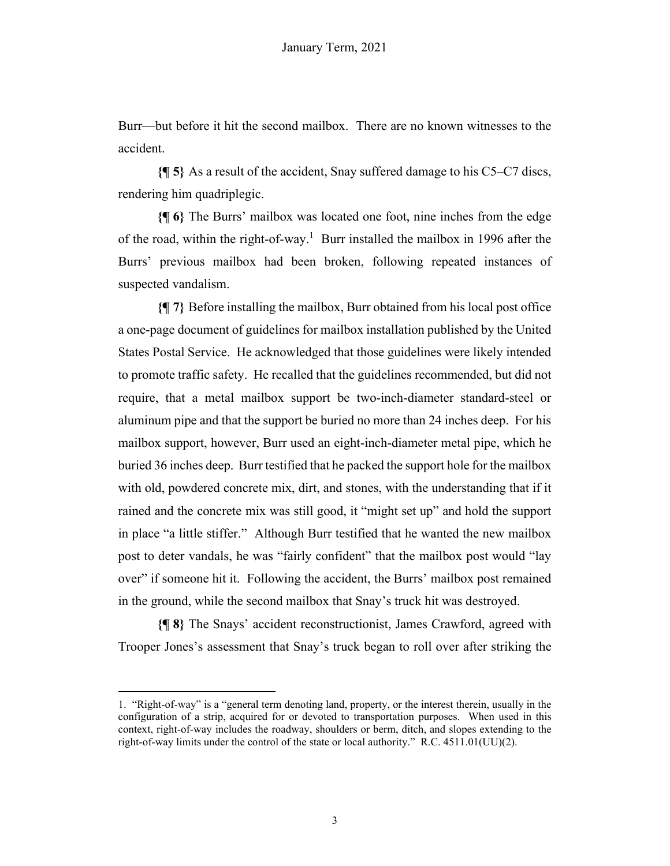Burr—but before it hit the second mailbox. There are no known witnesses to the accident.

**{¶ 5}** As a result of the accident, Snay suffered damage to his C5–C7 discs, rendering him quadriplegic.

**{¶ 6}** The Burrs' mailbox was located one foot, nine inches from the edge of the road, within the right-of-way.<sup>1</sup> Burr installed the mailbox in 1996 after the Burrs' previous mailbox had been broken, following repeated instances of suspected vandalism.

**{¶ 7}** Before installing the mailbox, Burr obtained from his local post office a one-page document of guidelines for mailbox installation published by the United States Postal Service. He acknowledged that those guidelines were likely intended to promote traffic safety. He recalled that the guidelines recommended, but did not require, that a metal mailbox support be two-inch-diameter standard-steel or aluminum pipe and that the support be buried no more than 24 inches deep. For his mailbox support, however, Burr used an eight-inch-diameter metal pipe, which he buried 36 inches deep. Burr testified that he packed the support hole for the mailbox with old, powdered concrete mix, dirt, and stones, with the understanding that if it rained and the concrete mix was still good, it "might set up" and hold the support in place "a little stiffer." Although Burr testified that he wanted the new mailbox post to deter vandals, he was "fairly confident" that the mailbox post would "lay over" if someone hit it. Following the accident, the Burrs' mailbox post remained in the ground, while the second mailbox that Snay's truck hit was destroyed.

**{¶ 8}** The Snays' accident reconstructionist, James Crawford, agreed with Trooper Jones's assessment that Snay's truck began to roll over after striking the

<sup>1. &</sup>quot;Right-of-way" is a "general term denoting land, property, or the interest therein, usually in the configuration of a strip, acquired for or devoted to transportation purposes. When used in this context, right-of-way includes the roadway, shoulders or berm, ditch, and slopes extending to the right-of-way limits under the control of the state or local authority." R.C. 4511.01(UU)(2).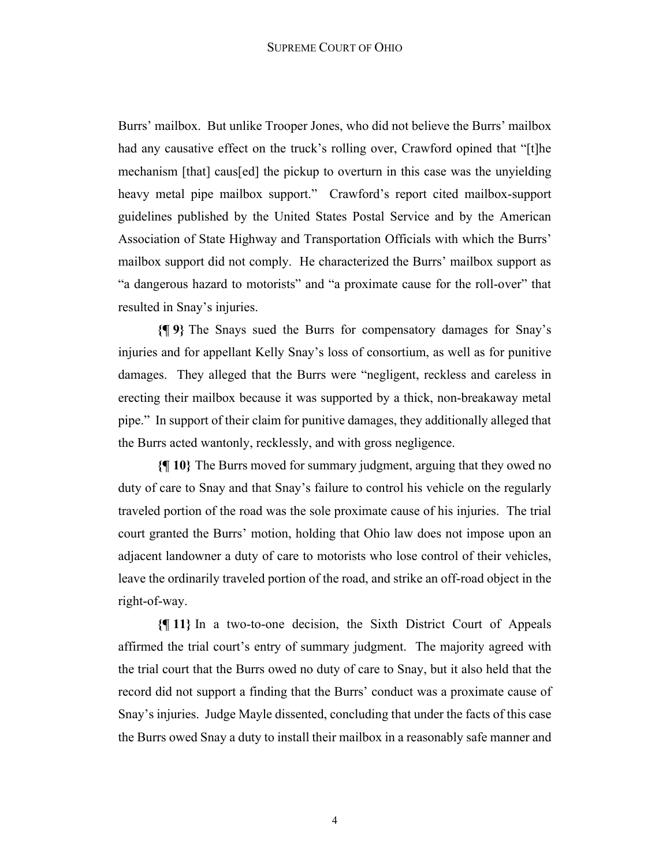Burrs' mailbox. But unlike Trooper Jones, who did not believe the Burrs' mailbox had any causative effect on the truck's rolling over, Crawford opined that "[t]he mechanism [that] caus[ed] the pickup to overturn in this case was the unyielding heavy metal pipe mailbox support." Crawford's report cited mailbox-support guidelines published by the United States Postal Service and by the American Association of State Highway and Transportation Officials with which the Burrs' mailbox support did not comply. He characterized the Burrs' mailbox support as "a dangerous hazard to motorists" and "a proximate cause for the roll-over" that resulted in Snay's injuries.

**{¶ 9}** The Snays sued the Burrs for compensatory damages for Snay's injuries and for appellant Kelly Snay's loss of consortium, as well as for punitive damages. They alleged that the Burrs were "negligent, reckless and careless in erecting their mailbox because it was supported by a thick, non-breakaway metal pipe." In support of their claim for punitive damages, they additionally alleged that the Burrs acted wantonly, recklessly, and with gross negligence.

**{¶ 10}** The Burrs moved for summary judgment, arguing that they owed no duty of care to Snay and that Snay's failure to control his vehicle on the regularly traveled portion of the road was the sole proximate cause of his injuries. The trial court granted the Burrs' motion, holding that Ohio law does not impose upon an adjacent landowner a duty of care to motorists who lose control of their vehicles, leave the ordinarily traveled portion of the road, and strike an off-road object in the right-of-way.

**{¶ 11}** In a two-to-one decision, the Sixth District Court of Appeals affirmed the trial court's entry of summary judgment. The majority agreed with the trial court that the Burrs owed no duty of care to Snay, but it also held that the record did not support a finding that the Burrs' conduct was a proximate cause of Snay's injuries. Judge Mayle dissented, concluding that under the facts of this case the Burrs owed Snay a duty to install their mailbox in a reasonably safe manner and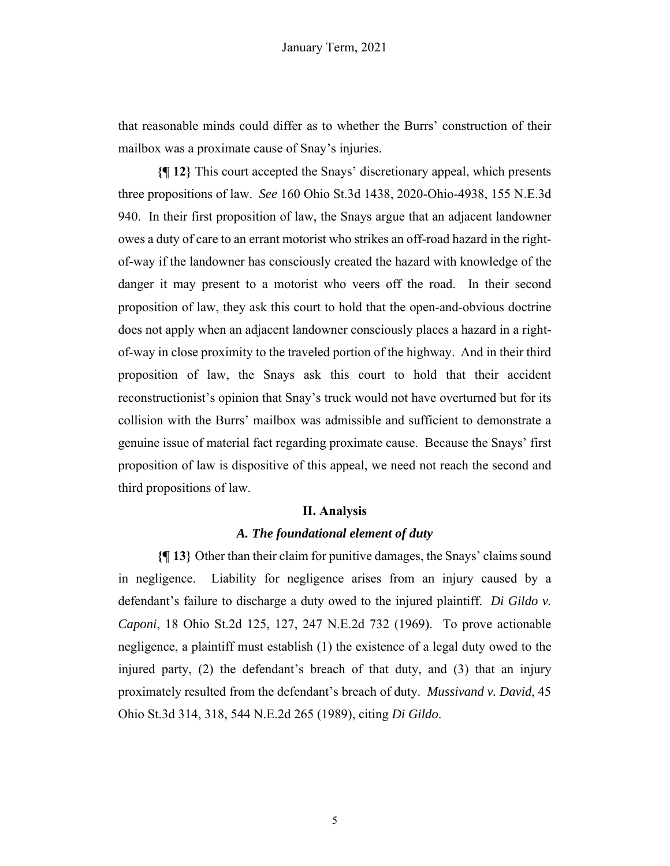that reasonable minds could differ as to whether the Burrs' construction of their mailbox was a proximate cause of Snay's injuries.

**{¶ 12}** This court accepted the Snays' discretionary appeal, which presents three propositions of law. *See* 160 Ohio St.3d 1438, 2020-Ohio-4938, 155 N.E.3d 940. In their first proposition of law, the Snays argue that an adjacent landowner owes a duty of care to an errant motorist who strikes an off-road hazard in the rightof-way if the landowner has consciously created the hazard with knowledge of the danger it may present to a motorist who veers off the road. In their second proposition of law, they ask this court to hold that the open-and-obvious doctrine does not apply when an adjacent landowner consciously places a hazard in a rightof-way in close proximity to the traveled portion of the highway. And in their third proposition of law, the Snays ask this court to hold that their accident reconstructionist's opinion that Snay's truck would not have overturned but for its collision with the Burrs' mailbox was admissible and sufficient to demonstrate a genuine issue of material fact regarding proximate cause. Because the Snays' first proposition of law is dispositive of this appeal, we need not reach the second and third propositions of law.

### **II. Analysis**

## *A. The foundational element of duty*

**{¶ 13}** Other than their claim for punitive damages, the Snays' claims sound in negligence. Liability for negligence arises from an injury caused by a defendant's failure to discharge a duty owed to the injured plaintiff. *Di Gildo v. Caponi*, 18 Ohio St.2d 125, 127, 247 N.E.2d 732 (1969). To prove actionable negligence, a plaintiff must establish (1) the existence of a legal duty owed to the injured party, (2) the defendant's breach of that duty, and (3) that an injury proximately resulted from the defendant's breach of duty. *Mussivand v. David*, 45 Ohio St.3d 314, 318, 544 N.E.2d 265 (1989), citing *Di Gildo*.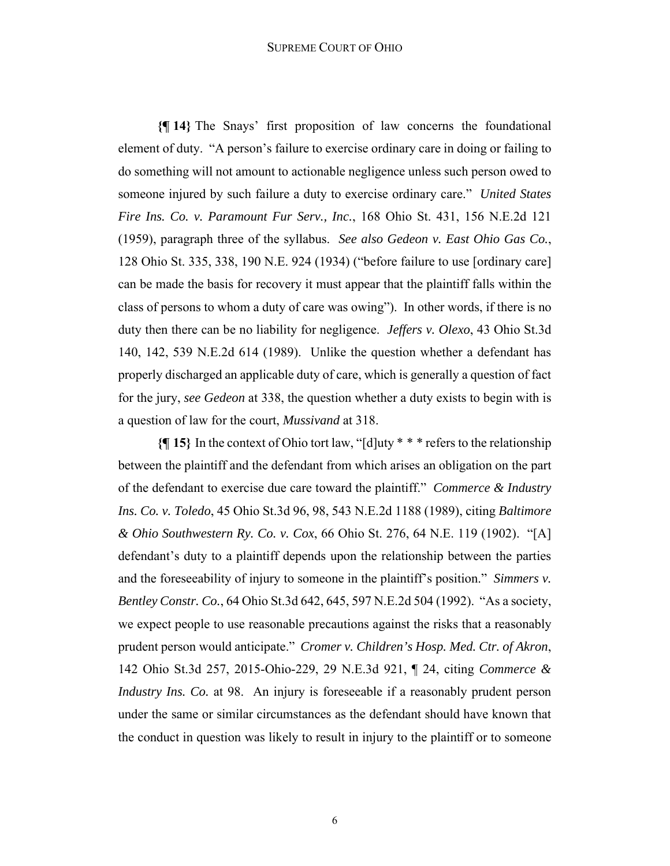#### SUPREME COURT OF OHIO

**{¶ 14}** The Snays' first proposition of law concerns the foundational element of duty. "A person's failure to exercise ordinary care in doing or failing to do something will not amount to actionable negligence unless such person owed to someone injured by such failure a duty to exercise ordinary care." *United States Fire Ins. Co. v. Paramount Fur Serv., Inc.*, 168 Ohio St. 431, 156 N.E.2d 121 (1959), paragraph three of the syllabus. *See also Gedeon v. East Ohio Gas Co.*, 128 Ohio St. 335, 338, 190 N.E. 924 (1934) ("before failure to use [ordinary care] can be made the basis for recovery it must appear that the plaintiff falls within the class of persons to whom a duty of care was owing"). In other words, if there is no duty then there can be no liability for negligence. *Jeffers v. Olexo*, 43 Ohio St.3d 140, 142, 539 N.E.2d 614 (1989). Unlike the question whether a defendant has properly discharged an applicable duty of care, which is generally a question of fact for the jury, *see Gedeon* at 338, the question whether a duty exists to begin with is a question of law for the court, *Mussivand* at 318.

**{¶ 15}** In the context of Ohio tort law, "[d]uty \* \* \* refers to the relationship between the plaintiff and the defendant from which arises an obligation on the part of the defendant to exercise due care toward the plaintiff." *Commerce & Industry Ins. Co. v. Toledo*, 45 Ohio St.3d 96, 98, 543 N.E.2d 1188 (1989), citing *Baltimore & Ohio Southwestern Ry. Co. v. Cox*, 66 Ohio St. 276, 64 N.E. 119 (1902). "[A] defendant's duty to a plaintiff depends upon the relationship between the parties and the foreseeability of injury to someone in the plaintiff's position." *Simmers v. Bentley Constr. Co.*, 64 Ohio St.3d 642, 645, 597 N.E.2d 504 (1992). "As a society, we expect people to use reasonable precautions against the risks that a reasonably prudent person would anticipate." *Cromer v. Children's Hosp. Med. Ctr. of Akron*, 142 Ohio St.3d 257, 2015-Ohio-229, 29 N.E.3d 921, ¶ 24, citing *Commerce & Industry Ins. Co.* at 98. An injury is foreseeable if a reasonably prudent person under the same or similar circumstances as the defendant should have known that the conduct in question was likely to result in injury to the plaintiff or to someone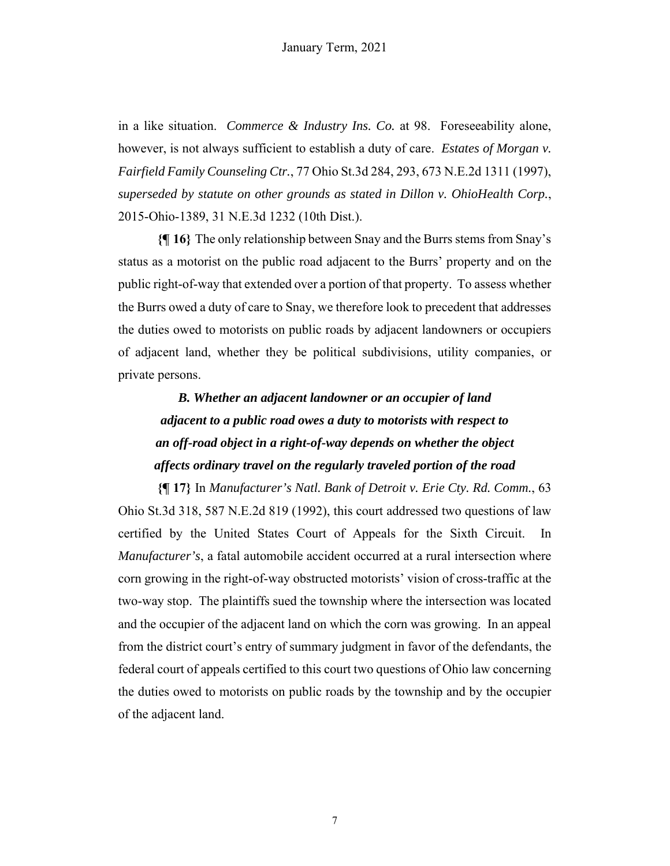in a like situation. *Commerce & Industry Ins. Co.* at 98. Foreseeability alone, however, is not always sufficient to establish a duty of care. *Estates of Morgan v. Fairfield Family Counseling Ctr.*, 77 Ohio St.3d 284, 293, 673 N.E.2d 1311 (1997), *superseded by statute on other grounds as stated in Dillon v. OhioHealth Corp.*, 2015-Ohio-1389, 31 N.E.3d 1232 (10th Dist.).

**{¶ 16}** The only relationship between Snay and the Burrs stems from Snay's status as a motorist on the public road adjacent to the Burrs' property and on the public right-of-way that extended over a portion of that property. To assess whether the Burrs owed a duty of care to Snay, we therefore look to precedent that addresses the duties owed to motorists on public roads by adjacent landowners or occupiers of adjacent land, whether they be political subdivisions, utility companies, or private persons.

# *B. Whether an adjacent landowner or an occupier of land adjacent to a public road owes a duty to motorists with respect to an off-road object in a right-of-way depends on whether the object affects ordinary travel on the regularly traveled portion of the road*

**{¶ 17}** In *Manufacturer's Natl. Bank of Detroit v. Erie Cty. Rd. Comm.*, 63 Ohio St.3d 318, 587 N.E.2d 819 (1992), this court addressed two questions of law certified by the United States Court of Appeals for the Sixth Circuit. In *Manufacturer's*, a fatal automobile accident occurred at a rural intersection where corn growing in the right-of-way obstructed motorists' vision of cross-traffic at the two-way stop. The plaintiffs sued the township where the intersection was located and the occupier of the adjacent land on which the corn was growing. In an appeal from the district court's entry of summary judgment in favor of the defendants, the federal court of appeals certified to this court two questions of Ohio law concerning the duties owed to motorists on public roads by the township and by the occupier of the adjacent land.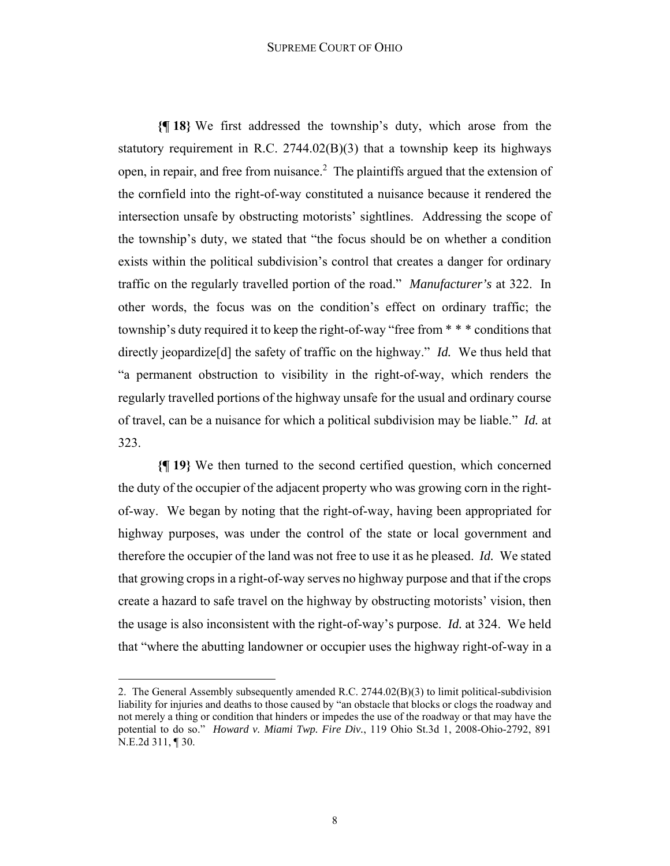#### SUPREME COURT OF OHIO

**{¶ 18}** We first addressed the township's duty, which arose from the statutory requirement in R.C.  $2744.02(B)(3)$  that a township keep its highways open, in repair, and free from nuisance.<sup>2</sup> The plaintiffs argued that the extension of the cornfield into the right-of-way constituted a nuisance because it rendered the intersection unsafe by obstructing motorists' sightlines. Addressing the scope of the township's duty, we stated that "the focus should be on whether a condition exists within the political subdivision's control that creates a danger for ordinary traffic on the regularly travelled portion of the road." *Manufacturer's* at 322. In other words, the focus was on the condition's effect on ordinary traffic; the township's duty required it to keep the right-of-way "free from \* \* \* conditions that directly jeopardize[d] the safety of traffic on the highway." *Id.* We thus held that "a permanent obstruction to visibility in the right-of-way, which renders the regularly travelled portions of the highway unsafe for the usual and ordinary course of travel, can be a nuisance for which a political subdivision may be liable." *Id.* at 323.

**{¶ 19}** We then turned to the second certified question, which concerned the duty of the occupier of the adjacent property who was growing corn in the rightof-way. We began by noting that the right-of-way, having been appropriated for highway purposes, was under the control of the state or local government and therefore the occupier of the land was not free to use it as he pleased. *Id.* We stated that growing crops in a right-of-way serves no highway purpose and that if the crops create a hazard to safe travel on the highway by obstructing motorists' vision, then the usage is also inconsistent with the right-of-way's purpose. *Id.* at 324. We held that "where the abutting landowner or occupier uses the highway right-of-way in a

<sup>2.</sup> The General Assembly subsequently amended R.C. 2744.02(B)(3) to limit political-subdivision liability for injuries and deaths to those caused by "an obstacle that blocks or clogs the roadway and not merely a thing or condition that hinders or impedes the use of the roadway or that may have the potential to do so." *Howard v. Miami Twp. Fire Div.*, 119 Ohio St.3d 1, 2008-Ohio-2792, 891 N.E.2d 311, ¶ 30.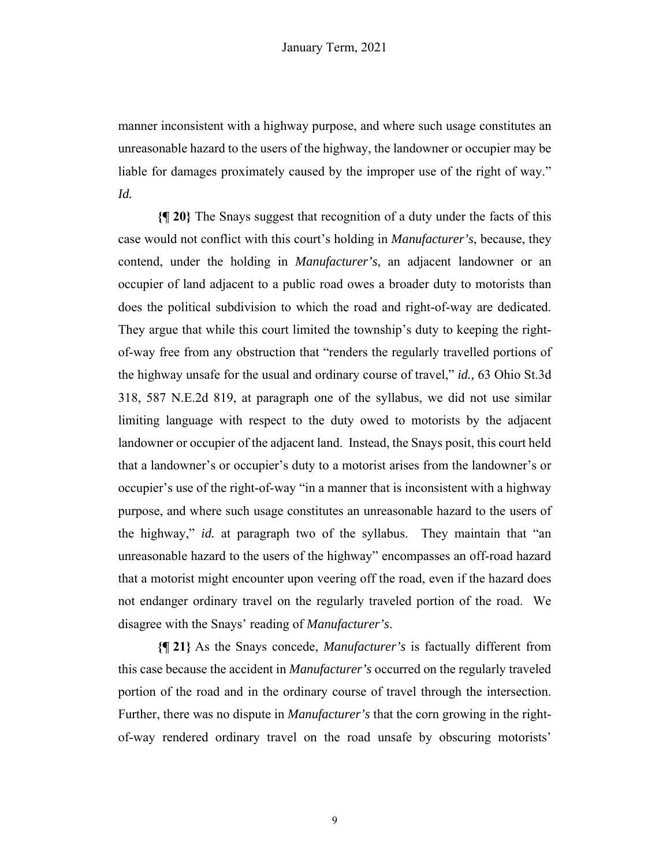manner inconsistent with a highway purpose, and where such usage constitutes an unreasonable hazard to the users of the highway, the landowner or occupier may be liable for damages proximately caused by the improper use of the right of way." *Id.*

**{¶ 20}** The Snays suggest that recognition of a duty under the facts of this case would not conflict with this court's holding in *Manufacturer's*, because, they contend, under the holding in *Manufacturer's*, an adjacent landowner or an occupier of land adjacent to a public road owes a broader duty to motorists than does the political subdivision to which the road and right-of-way are dedicated. They argue that while this court limited the township's duty to keeping the rightof-way free from any obstruction that "renders the regularly travelled portions of the highway unsafe for the usual and ordinary course of travel," *id.,* 63 Ohio St.3d 318, 587 N.E.2d 819, at paragraph one of the syllabus, we did not use similar limiting language with respect to the duty owed to motorists by the adjacent landowner or occupier of the adjacent land. Instead, the Snays posit, this court held that a landowner's or occupier's duty to a motorist arises from the landowner's or occupier's use of the right-of-way "in a manner that is inconsistent with a highway purpose, and where such usage constitutes an unreasonable hazard to the users of the highway," *id.* at paragraph two of the syllabus. They maintain that "an unreasonable hazard to the users of the highway" encompasses an off-road hazard that a motorist might encounter upon veering off the road, even if the hazard does not endanger ordinary travel on the regularly traveled portion of the road. We disagree with the Snays' reading of *Manufacturer's*.

**{¶ 21}** As the Snays concede, *Manufacturer's* is factually different from this case because the accident in *Manufacturer's* occurred on the regularly traveled portion of the road and in the ordinary course of travel through the intersection. Further, there was no dispute in *Manufacturer's* that the corn growing in the rightof-way rendered ordinary travel on the road unsafe by obscuring motorists'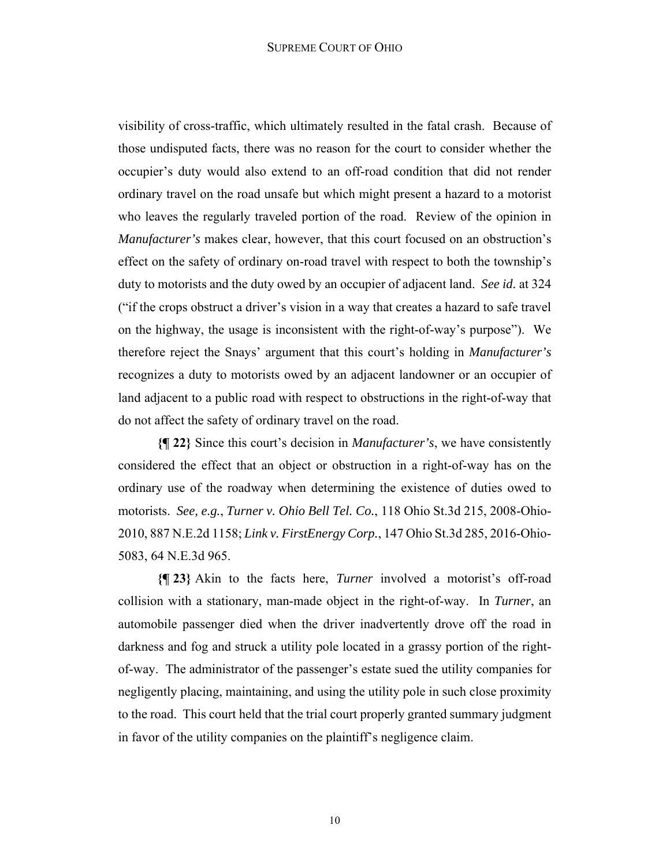visibility of cross-traffic, which ultimately resulted in the fatal crash. Because of those undisputed facts, there was no reason for the court to consider whether the occupier's duty would also extend to an off-road condition that did not render ordinary travel on the road unsafe but which might present a hazard to a motorist who leaves the regularly traveled portion of the road. Review of the opinion in *Manufacturer's* makes clear, however, that this court focused on an obstruction's effect on the safety of ordinary on-road travel with respect to both the township's duty to motorists and the duty owed by an occupier of adjacent land. *See id.* at 324 ("if the crops obstruct a driver's vision in a way that creates a hazard to safe travel on the highway, the usage is inconsistent with the right-of-way's purpose"). We therefore reject the Snays' argument that this court's holding in *Manufacturer's*  recognizes a duty to motorists owed by an adjacent landowner or an occupier of land adjacent to a public road with respect to obstructions in the right-of-way that do not affect the safety of ordinary travel on the road.

**{¶ 22}** Since this court's decision in *Manufacturer's*, we have consistently considered the effect that an object or obstruction in a right-of-way has on the ordinary use of the roadway when determining the existence of duties owed to motorists. *See, e.g.*, *Turner v. Ohio Bell Tel. Co.*, 118 Ohio St.3d 215, 2008-Ohio-2010, 887 N.E.2d 1158; *Link v. FirstEnergy Corp.*, 147 Ohio St.3d 285, 2016-Ohio-5083, 64 N.E.3d 965.

**{¶ 23}** Akin to the facts here, *Turner* involved a motorist's off-road collision with a stationary, man-made object in the right-of-way. In *Turner*, an automobile passenger died when the driver inadvertently drove off the road in darkness and fog and struck a utility pole located in a grassy portion of the rightof-way. The administrator of the passenger's estate sued the utility companies for negligently placing, maintaining, and using the utility pole in such close proximity to the road. This court held that the trial court properly granted summary judgment in favor of the utility companies on the plaintiff's negligence claim.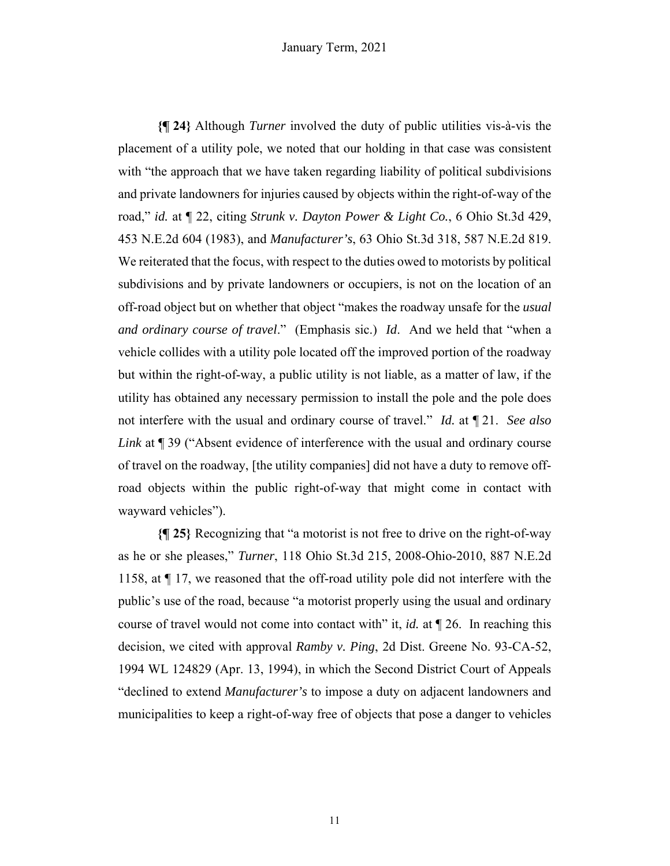**{¶ 24}** Although *Turner* involved the duty of public utilities vis-à-vis the placement of a utility pole, we noted that our holding in that case was consistent with "the approach that we have taken regarding liability of political subdivisions and private landowners for injuries caused by objects within the right-of-way of the road," *id.* at ¶ 22, citing *Strunk v. Dayton Power & Light Co.*, 6 Ohio St.3d 429, 453 N.E.2d 604 (1983), and *Manufacturer's*, 63 Ohio St.3d 318, 587 N.E.2d 819. We reiterated that the focus, with respect to the duties owed to motorists by political subdivisions and by private landowners or occupiers, is not on the location of an off-road object but on whether that object "makes the roadway unsafe for the *usual and ordinary course of travel*." (Emphasis sic.) *Id*. And we held that "when a vehicle collides with a utility pole located off the improved portion of the roadway but within the right-of-way, a public utility is not liable, as a matter of law, if the utility has obtained any necessary permission to install the pole and the pole does not interfere with the usual and ordinary course of travel." *Id.* at ¶ 21. *See also Link* at ¶ 39 ("Absent evidence of interference with the usual and ordinary course of travel on the roadway, [the utility companies] did not have a duty to remove offroad objects within the public right-of-way that might come in contact with wayward vehicles").

**{¶ 25}** Recognizing that "a motorist is not free to drive on the right-of-way as he or she pleases," *Turner*, 118 Ohio St.3d 215, 2008-Ohio-2010, 887 N.E.2d 1158, at ¶ 17, we reasoned that the off-road utility pole did not interfere with the public's use of the road, because "a motorist properly using the usual and ordinary course of travel would not come into contact with" it, *id.* at ¶ 26. In reaching this decision, we cited with approval *Ramby v. Ping*, 2d Dist. Greene No. 93-CA-52, 1994 WL 124829 (Apr. 13, 1994), in which the Second District Court of Appeals "declined to extend *Manufacturer's* to impose a duty on adjacent landowners and municipalities to keep a right-of-way free of objects that pose a danger to vehicles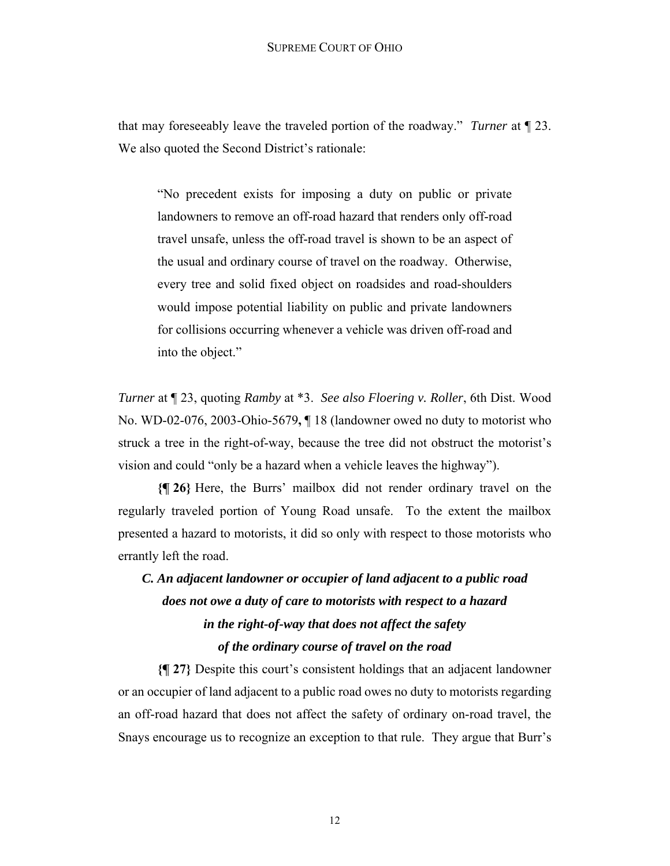that may foreseeably leave the traveled portion of the roadway." *Turner* at ¶ 23. We also quoted the Second District's rationale:

"No precedent exists for imposing a duty on public or private landowners to remove an off-road hazard that renders only off-road travel unsafe, unless the off-road travel is shown to be an aspect of the usual and ordinary course of travel on the roadway. Otherwise, every tree and solid fixed object on roadsides and road-shoulders would impose potential liability on public and private landowners for collisions occurring whenever a vehicle was driven off-road and into the object."

*Turner* at ¶ 23, quoting *Ramby* at \*3. *See also Floering v. Roller*, 6th Dist. Wood No. WD-02-076, 2003-Ohio-5679**,** ¶ 18 (landowner owed no duty to motorist who struck a tree in the right-of-way, because the tree did not obstruct the motorist's vision and could "only be a hazard when a vehicle leaves the highway").

**{¶ 26}** Here, the Burrs' mailbox did not render ordinary travel on the regularly traveled portion of Young Road unsafe. To the extent the mailbox presented a hazard to motorists, it did so only with respect to those motorists who errantly left the road.

# *C. An adjacent landowner or occupier of land adjacent to a public road does not owe a duty of care to motorists with respect to a hazard in the right-of-way that does not affect the safety of the ordinary course of travel on the road*

**{¶ 27}** Despite this court's consistent holdings that an adjacent landowner or an occupier of land adjacent to a public road owes no duty to motorists regarding an off-road hazard that does not affect the safety of ordinary on-road travel, the Snays encourage us to recognize an exception to that rule. They argue that Burr's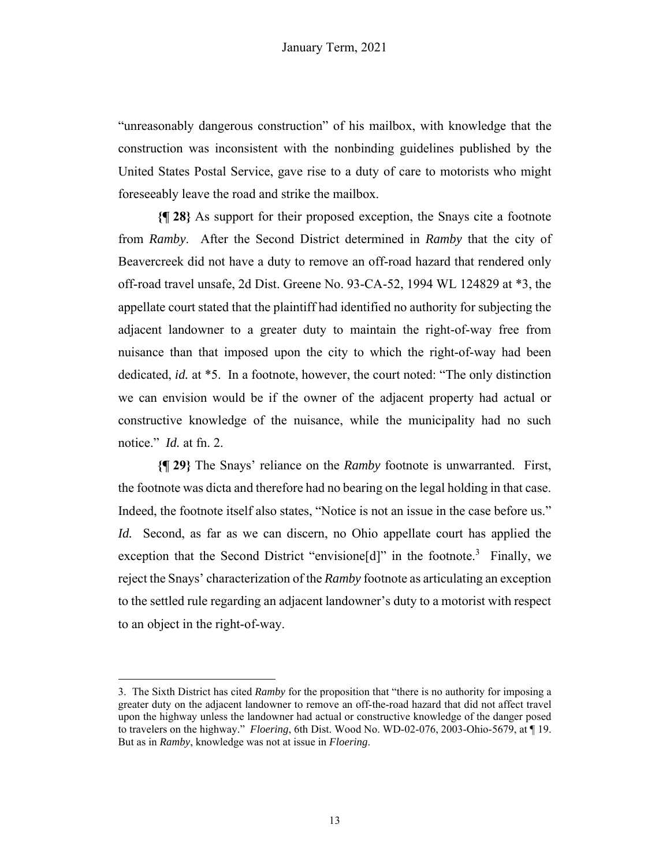"unreasonably dangerous construction" of his mailbox, with knowledge that the construction was inconsistent with the nonbinding guidelines published by the United States Postal Service, gave rise to a duty of care to motorists who might foreseeably leave the road and strike the mailbox.

**{¶ 28}** As support for their proposed exception, the Snays cite a footnote from *Ramby*. After the Second District determined in *Ramby* that the city of Beavercreek did not have a duty to remove an off-road hazard that rendered only off-road travel unsafe, 2d Dist. Greene No. 93-CA-52, 1994 WL 124829 at \*3, the appellate court stated that the plaintiff had identified no authority for subjecting the adjacent landowner to a greater duty to maintain the right-of-way free from nuisance than that imposed upon the city to which the right-of-way had been dedicated, *id.* at \*5. In a footnote, however, the court noted: "The only distinction we can envision would be if the owner of the adjacent property had actual or constructive knowledge of the nuisance, while the municipality had no such notice." *Id.* at fn. 2.

**{¶ 29}** The Snays' reliance on the *Ramby* footnote is unwarranted. First, the footnote was dicta and therefore had no bearing on the legal holding in that case. Indeed, the footnote itself also states, "Notice is not an issue in the case before us." *Id.* Second, as far as we can discern, no Ohio appellate court has applied the exception that the Second District "envisione[d]" in the footnote.<sup>3</sup> Finally, we reject the Snays' characterization of the *Ramby* footnote as articulating an exception to the settled rule regarding an adjacent landowner's duty to a motorist with respect to an object in the right-of-way.

<sup>3.</sup> The Sixth District has cited *Ramby* for the proposition that "there is no authority for imposing a greater duty on the adjacent landowner to remove an off-the-road hazard that did not affect travel upon the highway unless the landowner had actual or constructive knowledge of the danger posed to travelers on the highway." *Floering*, 6th Dist. Wood No. WD-02-076, 2003-Ohio-5679, at ¶ 19. But as in *Ramby*, knowledge was not at issue in *Floering*.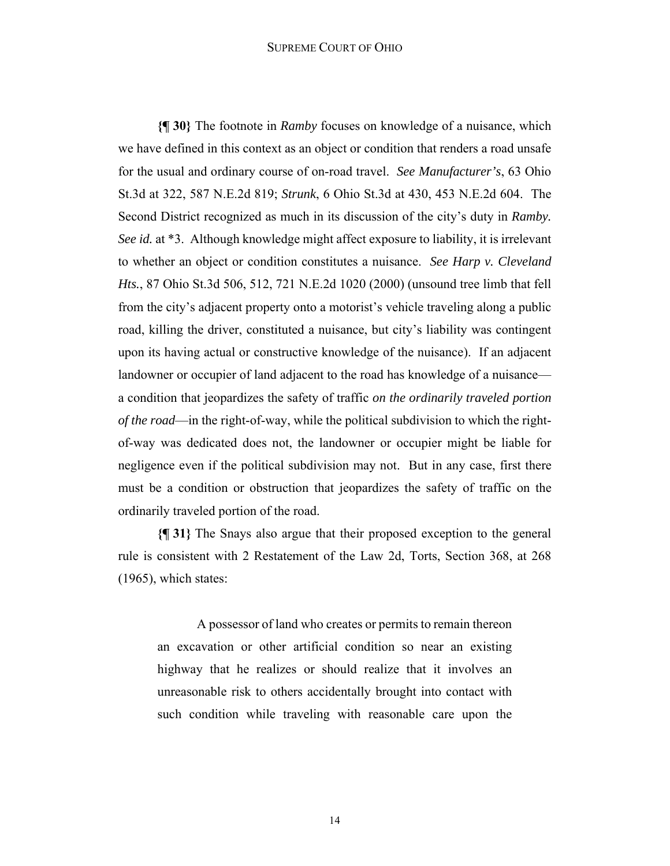#### SUPREME COURT OF OHIO

**{¶ 30}** The footnote in *Ramby* focuses on knowledge of a nuisance, which we have defined in this context as an object or condition that renders a road unsafe for the usual and ordinary course of on-road travel. *See Manufacturer's*, 63 Ohio St.3d at 322, 587 N.E.2d 819; *Strunk*, 6 Ohio St.3d at 430, 453 N.E.2d 604. The Second District recognized as much in its discussion of the city's duty in *Ramby. See id.* at \*3. Although knowledge might affect exposure to liability, it is irrelevant to whether an object or condition constitutes a nuisance. *See Harp v. Cleveland Hts.*, 87 Ohio St.3d 506, 512, 721 N.E.2d 1020 (2000) (unsound tree limb that fell from the city's adjacent property onto a motorist's vehicle traveling along a public road, killing the driver, constituted a nuisance, but city's liability was contingent upon its having actual or constructive knowledge of the nuisance). If an adjacent landowner or occupier of land adjacent to the road has knowledge of a nuisance a condition that jeopardizes the safety of traffic *on the ordinarily traveled portion of the road*—in the right-of-way, while the political subdivision to which the rightof-way was dedicated does not, the landowner or occupier might be liable for negligence even if the political subdivision may not. But in any case, first there must be a condition or obstruction that jeopardizes the safety of traffic on the ordinarily traveled portion of the road.

**{¶ 31}** The Snays also argue that their proposed exception to the general rule is consistent with 2 Restatement of the Law 2d, Torts, Section 368, at 268 (1965), which states:

A possessor of land who creates or permits to remain thereon an excavation or other artificial condition so near an existing highway that he realizes or should realize that it involves an unreasonable risk to others accidentally brought into contact with such condition while traveling with reasonable care upon the

14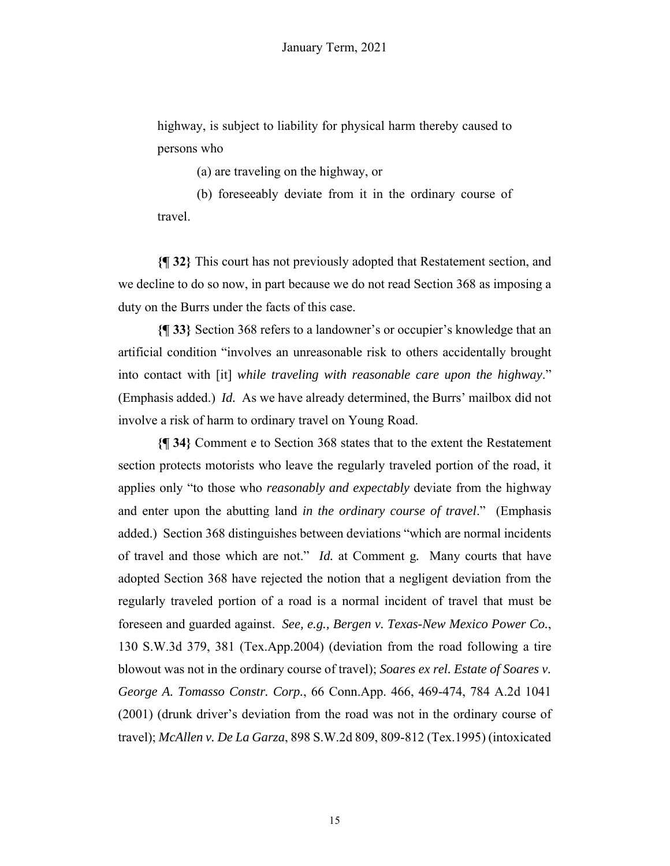highway, is subject to liability for physical harm thereby caused to persons who

(a) are traveling on the highway, or

(b) foreseeably deviate from it in the ordinary course of travel.

**{¶ 32}** This court has not previously adopted that Restatement section, and we decline to do so now, in part because we do not read Section 368 as imposing a duty on the Burrs under the facts of this case.

**{¶ 33}** Section 368 refers to a landowner's or occupier's knowledge that an artificial condition "involves an unreasonable risk to others accidentally brought into contact with [it] *while traveling with reasonable care upon the highway*." (Emphasis added.) *Id.* As we have already determined, the Burrs' mailbox did not involve a risk of harm to ordinary travel on Young Road.

**{¶ 34}** Comment e to Section 368 states that to the extent the Restatement section protects motorists who leave the regularly traveled portion of the road, it applies only "to those who *reasonably and expectably* deviate from the highway and enter upon the abutting land *in the ordinary course of travel*." (Emphasis added.) Section 368 distinguishes between deviations "which are normal incidents of travel and those which are not." *Id.* at Comment g*.* Many courts that have adopted Section 368 have rejected the notion that a negligent deviation from the regularly traveled portion of a road is a normal incident of travel that must be foreseen and guarded against. *See, e.g., Bergen v. Texas-New Mexico Power Co.*, 130 S.W.3d 379, 381 (Tex.App.2004) (deviation from the road following a tire blowout was not in the ordinary course of travel); *Soares ex rel. Estate of Soares v. George A. Tomasso Constr. Corp.*, 66 Conn.App. 466, 469-474, 784 A.2d 1041 (2001) (drunk driver's deviation from the road was not in the ordinary course of travel); *McAllen v. De La Garza*, 898 S.W.2d 809, 809-812 (Tex.1995) (intoxicated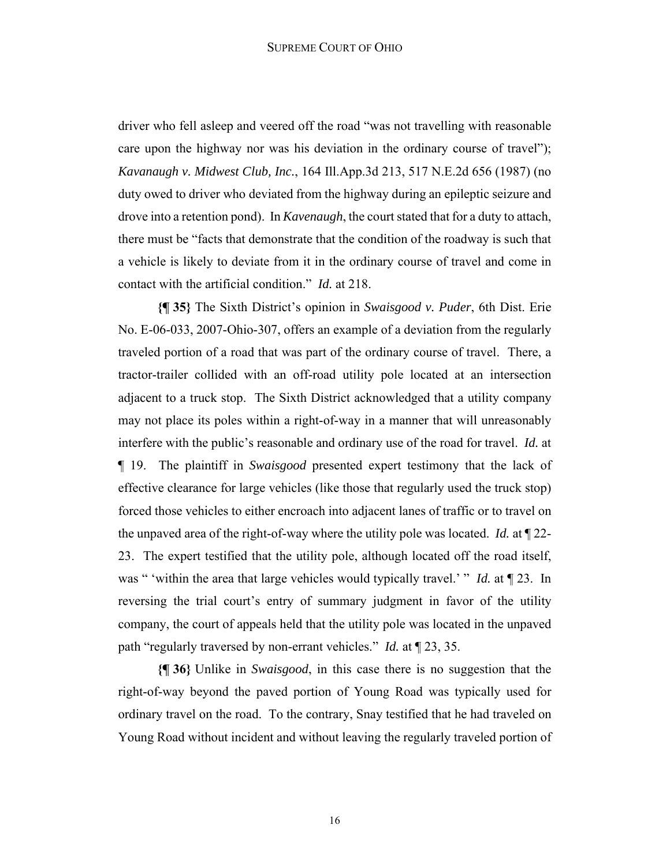driver who fell asleep and veered off the road "was not travelling with reasonable care upon the highway nor was his deviation in the ordinary course of travel"); *Kavanaugh v. Midwest Club, Inc.*, 164 Ill.App.3d 213, 517 N.E.2d 656 (1987) (no duty owed to driver who deviated from the highway during an epileptic seizure and drove into a retention pond). In *Kavenaugh*, the court stated that for a duty to attach, there must be "facts that demonstrate that the condition of the roadway is such that a vehicle is likely to deviate from it in the ordinary course of travel and come in contact with the artificial condition." *Id.* at 218.

**{¶ 35}** The Sixth District's opinion in *Swaisgood v. Puder*, 6th Dist. Erie No. E-06-033, 2007-Ohio-307, offers an example of a deviation from the regularly traveled portion of a road that was part of the ordinary course of travel. There, a tractor-trailer collided with an off-road utility pole located at an intersection adjacent to a truck stop. The Sixth District acknowledged that a utility company may not place its poles within a right-of-way in a manner that will unreasonably interfere with the public's reasonable and ordinary use of the road for travel. *Id.* at ¶ 19. The plaintiff in *Swaisgood* presented expert testimony that the lack of effective clearance for large vehicles (like those that regularly used the truck stop) forced those vehicles to either encroach into adjacent lanes of traffic or to travel on the unpaved area of the right-of-way where the utility pole was located. *Id.* at ¶ 22- 23. The expert testified that the utility pole, although located off the road itself, was " 'within the area that large vehicles would typically travel.' " *Id.* at ¶ 23. In reversing the trial court's entry of summary judgment in favor of the utility company, the court of appeals held that the utility pole was located in the unpaved path "regularly traversed by non-errant vehicles." *Id.* at ¶ 23, 35.

**{¶ 36}** Unlike in *Swaisgood*, in this case there is no suggestion that the right-of-way beyond the paved portion of Young Road was typically used for ordinary travel on the road. To the contrary, Snay testified that he had traveled on Young Road without incident and without leaving the regularly traveled portion of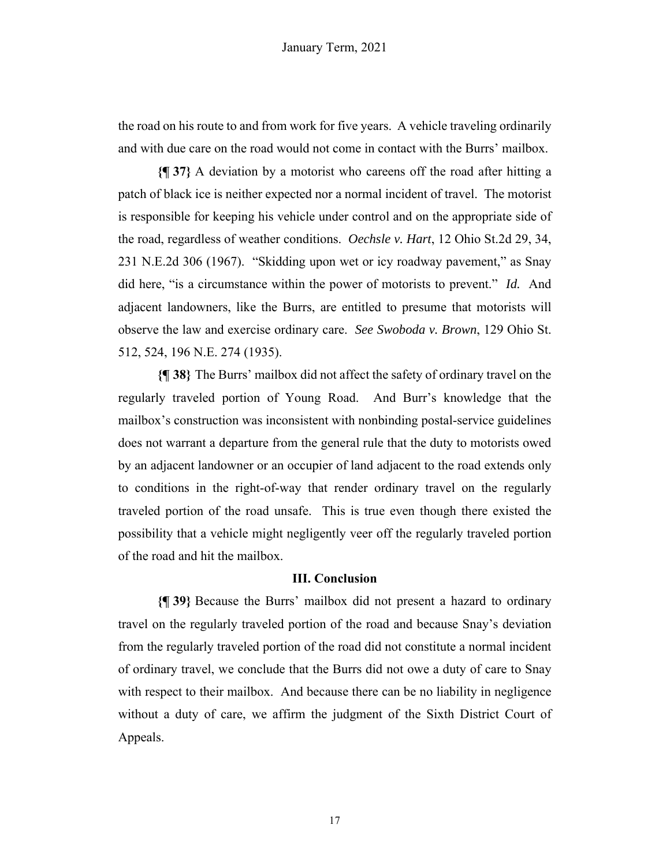the road on his route to and from work for five years. A vehicle traveling ordinarily and with due care on the road would not come in contact with the Burrs' mailbox.

**{¶ 37}** A deviation by a motorist who careens off the road after hitting a patch of black ice is neither expected nor a normal incident of travel. The motorist is responsible for keeping his vehicle under control and on the appropriate side of the road, regardless of weather conditions. *Oechsle v. Hart*, 12 Ohio St.2d 29, 34, 231 N.E.2d 306 (1967). "Skidding upon wet or icy roadway pavement," as Snay did here, "is a circumstance within the power of motorists to prevent." *Id.* And adjacent landowners, like the Burrs, are entitled to presume that motorists will observe the law and exercise ordinary care. *See Swoboda v. Brown*, 129 Ohio St. 512, 524, 196 N.E. 274 (1935).

**{¶ 38}** The Burrs' mailbox did not affect the safety of ordinary travel on the regularly traveled portion of Young Road. And Burr's knowledge that the mailbox's construction was inconsistent with nonbinding postal-service guidelines does not warrant a departure from the general rule that the duty to motorists owed by an adjacent landowner or an occupier of land adjacent to the road extends only to conditions in the right-of-way that render ordinary travel on the regularly traveled portion of the road unsafe. This is true even though there existed the possibility that a vehicle might negligently veer off the regularly traveled portion of the road and hit the mailbox.

# **III. Conclusion**

**{¶ 39}** Because the Burrs' mailbox did not present a hazard to ordinary travel on the regularly traveled portion of the road and because Snay's deviation from the regularly traveled portion of the road did not constitute a normal incident of ordinary travel, we conclude that the Burrs did not owe a duty of care to Snay with respect to their mailbox. And because there can be no liability in negligence without a duty of care, we affirm the judgment of the Sixth District Court of Appeals.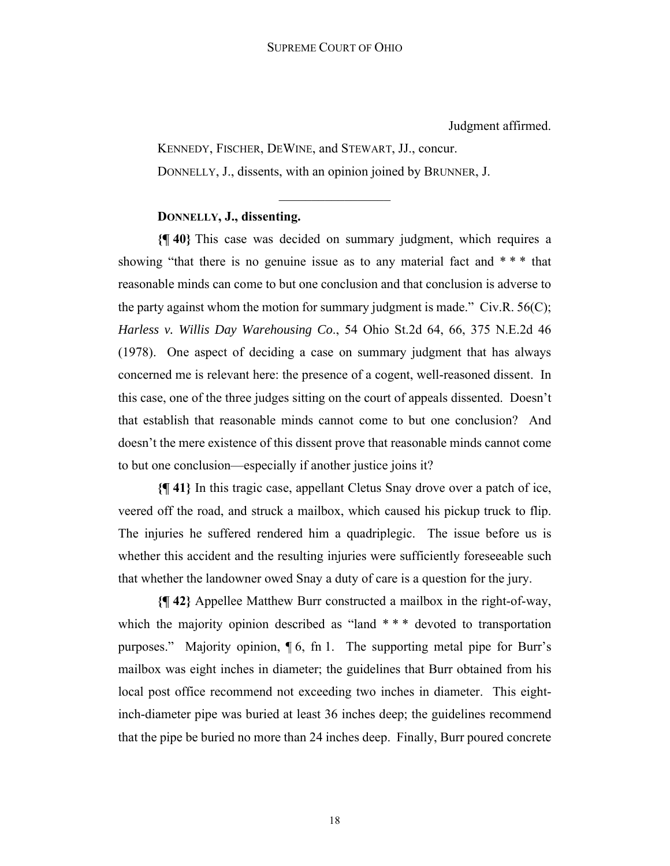Judgment affirmed.

KENNEDY, FISCHER, DEWINE, and STEWART, JJ., concur. DONNELLY, J., dissents, with an opinion joined by BRUNNER, J.

# **DONNELLY, J., dissenting.**

**{¶ 40}** This case was decided on summary judgment, which requires a showing "that there is no genuine issue as to any material fact and  $***$  that reasonable minds can come to but one conclusion and that conclusion is adverse to the party against whom the motion for summary judgment is made." Civ.R.  $56(C)$ ; *Harless v. Willis Day Warehousing Co*., 54 Ohio St.2d 64, 66, 375 N.E.2d 46 (1978). One aspect of deciding a case on summary judgment that has always concerned me is relevant here: the presence of a cogent, well-reasoned dissent. In this case, one of the three judges sitting on the court of appeals dissented. Doesn't that establish that reasonable minds cannot come to but one conclusion? And doesn't the mere existence of this dissent prove that reasonable minds cannot come to but one conclusion—especially if another justice joins it?

**{¶ 41}** In this tragic case, appellant Cletus Snay drove over a patch of ice, veered off the road, and struck a mailbox, which caused his pickup truck to flip. The injuries he suffered rendered him a quadriplegic. The issue before us is whether this accident and the resulting injuries were sufficiently foreseeable such that whether the landowner owed Snay a duty of care is a question for the jury.

**{¶ 42}** Appellee Matthew Burr constructed a mailbox in the right-of-way, which the majority opinion described as "land \*\*\* devoted to transportation purposes." Majority opinion, ¶ 6, fn 1. The supporting metal pipe for Burr's mailbox was eight inches in diameter; the guidelines that Burr obtained from his local post office recommend not exceeding two inches in diameter. This eightinch-diameter pipe was buried at least 36 inches deep; the guidelines recommend that the pipe be buried no more than 24 inches deep. Finally, Burr poured concrete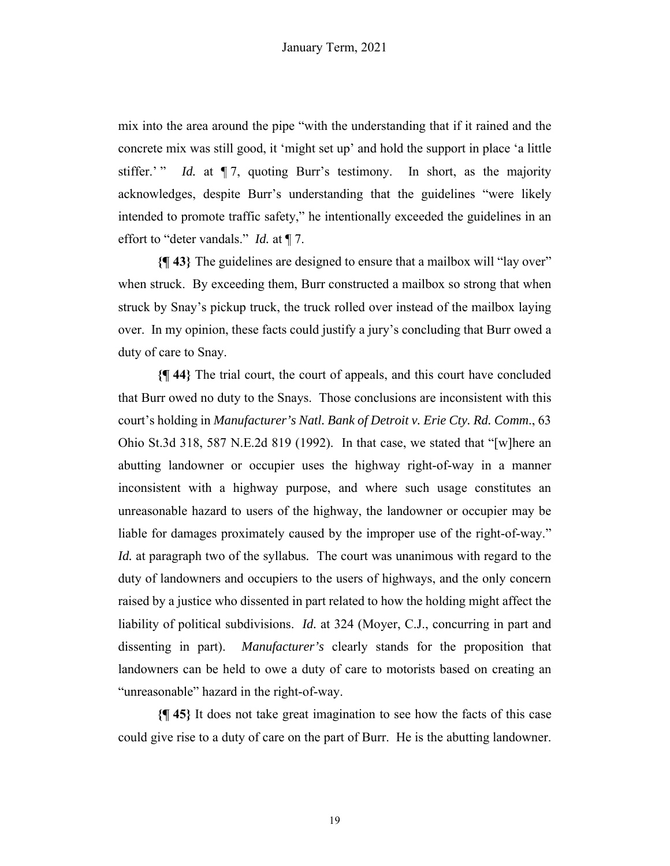mix into the area around the pipe "with the understanding that if it rained and the concrete mix was still good, it 'might set up' and hold the support in place 'a little stiffer.' " *Id.* at  $\P$  7, quoting Burr's testimony. In short, as the majority acknowledges, despite Burr's understanding that the guidelines "were likely intended to promote traffic safety," he intentionally exceeded the guidelines in an effort to "deter vandals." *Id.* at ¶ 7.

**{¶ 43}** The guidelines are designed to ensure that a mailbox will "lay over" when struck. By exceeding them, Burr constructed a mailbox so strong that when struck by Snay's pickup truck, the truck rolled over instead of the mailbox laying over. In my opinion, these facts could justify a jury's concluding that Burr owed a duty of care to Snay.

**{¶ 44}** The trial court, the court of appeals, and this court have concluded that Burr owed no duty to the Snays. Those conclusions are inconsistent with this court's holding in *Manufacturer's Natl. Bank of Detroit v. Erie Cty. Rd. Comm*., 63 Ohio St.3d 318, 587 N.E.2d 819 (1992). In that case, we stated that "[w]here an abutting landowner or occupier uses the highway right-of-way in a manner inconsistent with a highway purpose, and where such usage constitutes an unreasonable hazard to users of the highway, the landowner or occupier may be liable for damages proximately caused by the improper use of the right-of-way." *Id.* at paragraph two of the syllabus*.* The court was unanimous with regard to the duty of landowners and occupiers to the users of highways, and the only concern raised by a justice who dissented in part related to how the holding might affect the liability of political subdivisions. *Id.* at 324 (Moyer, C.J., concurring in part and dissenting in part). *Manufacturer's* clearly stands for the proposition that landowners can be held to owe a duty of care to motorists based on creating an "unreasonable" hazard in the right-of-way.

**{¶ 45}** It does not take great imagination to see how the facts of this case could give rise to a duty of care on the part of Burr. He is the abutting landowner.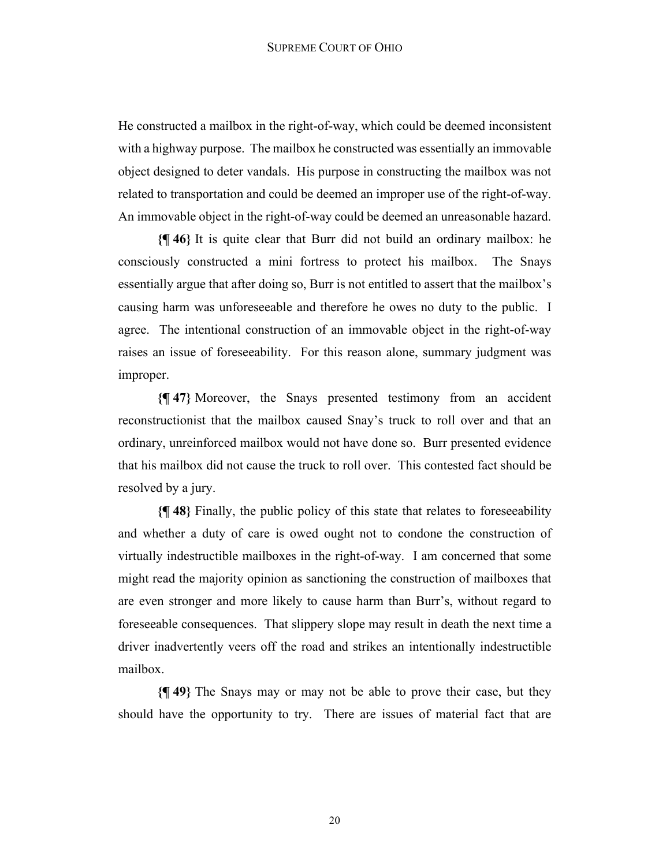He constructed a mailbox in the right-of-way, which could be deemed inconsistent with a highway purpose. The mailbox he constructed was essentially an immovable object designed to deter vandals. His purpose in constructing the mailbox was not related to transportation and could be deemed an improper use of the right-of-way. An immovable object in the right-of-way could be deemed an unreasonable hazard.

**{¶ 46}** It is quite clear that Burr did not build an ordinary mailbox: he consciously constructed a mini fortress to protect his mailbox. The Snays essentially argue that after doing so, Burr is not entitled to assert that the mailbox's causing harm was unforeseeable and therefore he owes no duty to the public. I agree. The intentional construction of an immovable object in the right-of-way raises an issue of foreseeability. For this reason alone, summary judgment was improper.

**{¶ 47}** Moreover, the Snays presented testimony from an accident reconstructionist that the mailbox caused Snay's truck to roll over and that an ordinary, unreinforced mailbox would not have done so. Burr presented evidence that his mailbox did not cause the truck to roll over. This contested fact should be resolved by a jury.

**{¶ 48}** Finally, the public policy of this state that relates to foreseeability and whether a duty of care is owed ought not to condone the construction of virtually indestructible mailboxes in the right-of-way. I am concerned that some might read the majority opinion as sanctioning the construction of mailboxes that are even stronger and more likely to cause harm than Burr's, without regard to foreseeable consequences. That slippery slope may result in death the next time a driver inadvertently veers off the road and strikes an intentionally indestructible mailbox.

**{¶ 49}** The Snays may or may not be able to prove their case, but they should have the opportunity to try. There are issues of material fact that are

20